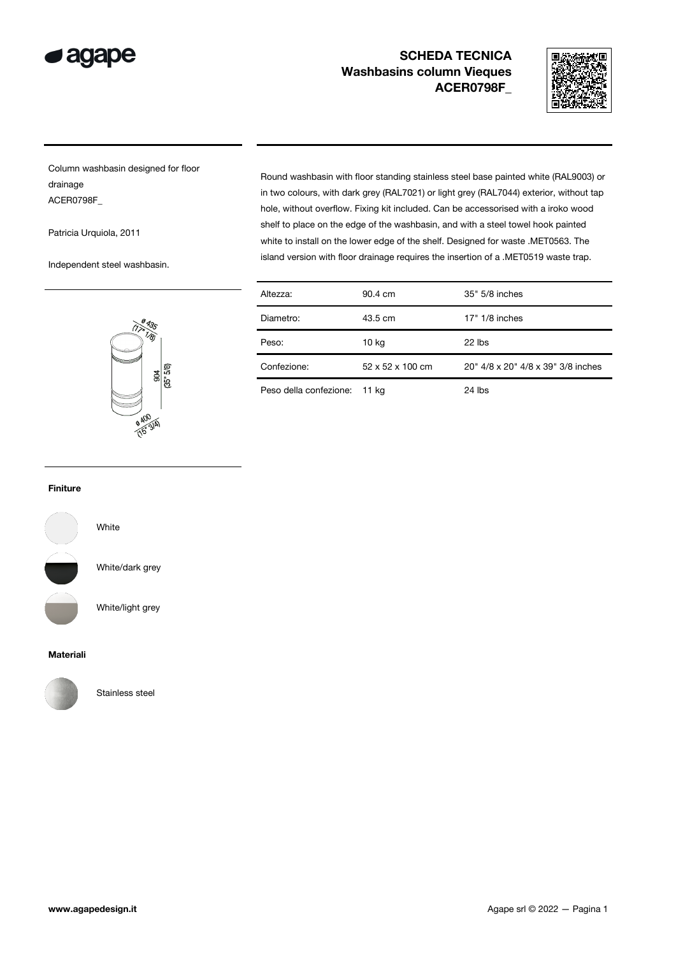

# SCHEDA TECNICA Washbasins column Vieques ACER0798F\_



Column washbasin designed for floor drainage ACER0798F\_

Patricia Urquiola, 2011

Independent steel washbasin.

Round washbasin with floor standing stainless steel base painted white (RAL9003) or in two colours, with dark grey (RAL7021) or light grey (RAL7044) exterior, without tap hole, without overflow. Fixing kit included. Can be accessorised with a iroko wood shelf to place on the edge of the washbasin, and with a steel towel hook painted white to install on the lower edge of the shelf. Designed for waste .MET0563. The island version with floor drainage requires the insertion of a .MET0519 waste trap.

| (17.18)        |
|----------------|
| (35"5/8)<br>99 |
|                |
| <b>0 400</b>   |

| Altezza:                     | 90.4 cm          | 35" 5/8 inches                     |
|------------------------------|------------------|------------------------------------|
| Diametro:                    | 43.5 cm          | $17" 1/8$ inches                   |
| Peso:                        | 10 kg            | $22$ lbs                           |
| Confezione:                  | 52 x 52 x 100 cm | 20" 4/8 x 20" 4/8 x 39" 3/8 inches |
| Peso della confezione: 11 kg |                  | 24 lbs                             |

#### Finiture



White/dark grey

White

White/light grey

#### Materiali



Stainless steel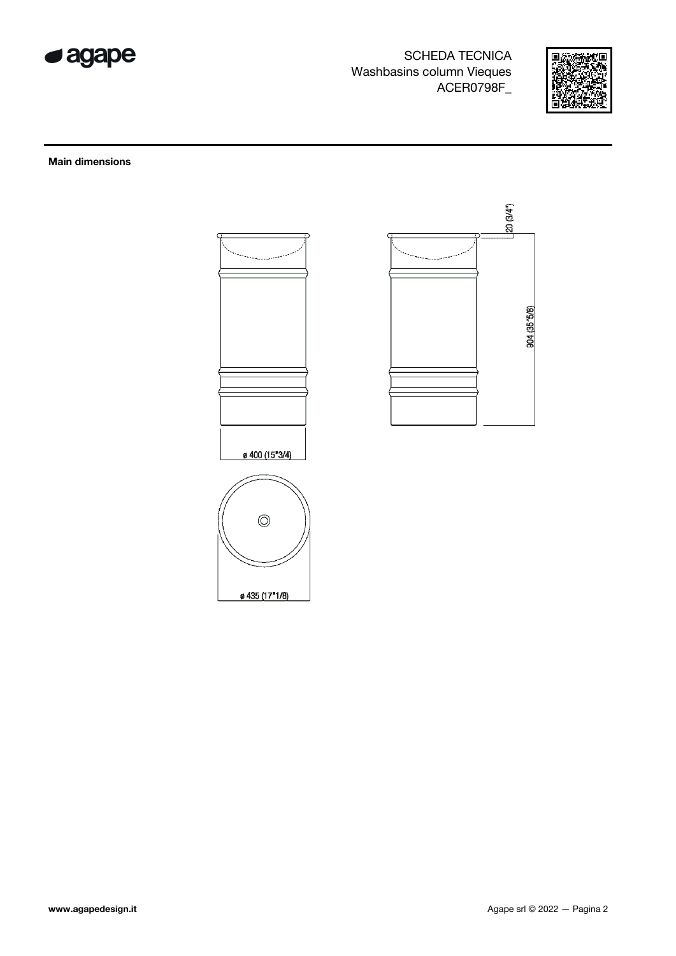

**SCHEDA TECNICA** Washbasins column Vieques ACER0798F



 $20(3/4^{n})$ 

904 (35"5/8)

### **Main dimensions**

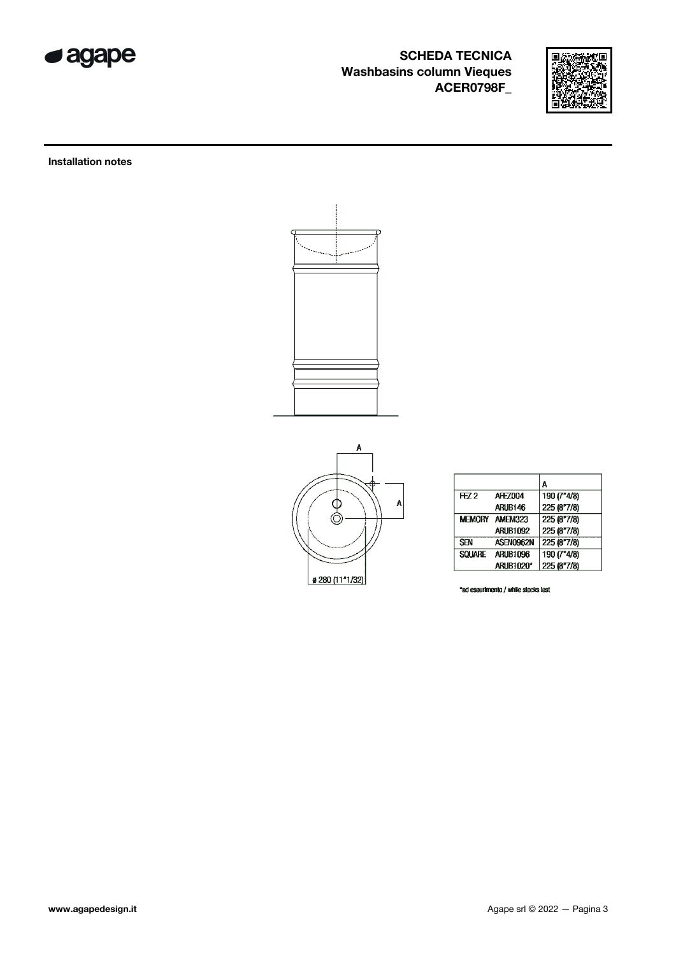

# SCHEDA TECNICA Washbasins column Vieques ACER0798F\_



Installation notes





|               |                  | A           |
|---------------|------------------|-------------|
| FZ2           | <b>AFEZ004</b>   | 190 (7"4/8) |
|               | ARUB146          | 225 (8"7/8) |
|               | MEMORY AMEM323   | 225 (8"7/8) |
|               | <b>ARUB1092</b>  | 225 (8"7/8) |
| <b>SEN</b>    | ASEN0962N        | 225 (8"7/8) |
| <b>SQUARE</b> | <b>ARUB1096</b>  | 190 (7"4/8) |
|               | <b>ARUB1020*</b> | 225 (8"7/8) |

"ad esaurimento / while stocks last